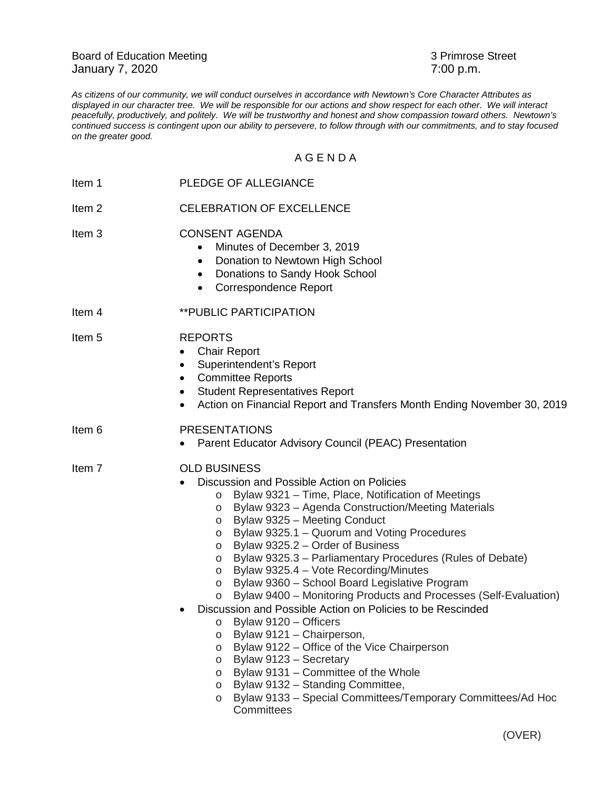Board of Education Meeting 3 Primrose Street<br>
January 7, 2020<br>
3 Primrose Street<br>
7:00 p.m. January 7, 2020

*As citizens of our community, we will conduct ourselves in accordance with Newtown's Core Character Attributes as displayed in our character tree. We will be responsible for our actions and show respect for each other. We will interact peacefully, productively, and politely. We will be trustworthy and honest and show compassion toward others. Newtown's continued success is contingent upon our ability to persevere, to follow through with our commitments, and to stay focused on the greater good.*

## A G E N D A

| Item 1            | PLEDGE OF ALLEGIANCE                                                                                                                                                                                                                                                                                                                                                                                                                                                                                                                                                                                                                                                                                                                                                                                                                                                                                                                                                                                                                                         |
|-------------------|--------------------------------------------------------------------------------------------------------------------------------------------------------------------------------------------------------------------------------------------------------------------------------------------------------------------------------------------------------------------------------------------------------------------------------------------------------------------------------------------------------------------------------------------------------------------------------------------------------------------------------------------------------------------------------------------------------------------------------------------------------------------------------------------------------------------------------------------------------------------------------------------------------------------------------------------------------------------------------------------------------------------------------------------------------------|
| Item <sub>2</sub> | <b>CELEBRATION OF EXCELLENCE</b>                                                                                                                                                                                                                                                                                                                                                                                                                                                                                                                                                                                                                                                                                                                                                                                                                                                                                                                                                                                                                             |
| Item 3            | <b>CONSENT AGENDA</b><br>Minutes of December 3, 2019<br>٠<br>Donation to Newtown High School<br>$\bullet$<br>Donations to Sandy Hook School<br>$\bullet$<br><b>Correspondence Report</b><br>$\bullet$                                                                                                                                                                                                                                                                                                                                                                                                                                                                                                                                                                                                                                                                                                                                                                                                                                                        |
| ltem 4            | <b>**PUBLIC PARTICIPATION</b>                                                                                                                                                                                                                                                                                                                                                                                                                                                                                                                                                                                                                                                                                                                                                                                                                                                                                                                                                                                                                                |
| Item 5            | <b>REPORTS</b><br><b>Chair Report</b><br>$\bullet$<br>Superintendent's Report<br>$\bullet$<br><b>Committee Reports</b><br>$\bullet$<br><b>Student Representatives Report</b><br>$\bullet$<br>Action on Financial Report and Transfers Month Ending November 30, 2019<br>$\bullet$                                                                                                                                                                                                                                                                                                                                                                                                                                                                                                                                                                                                                                                                                                                                                                            |
| ltem 6            | <b>PRESENTATIONS</b><br>Parent Educator Advisory Council (PEAC) Presentation                                                                                                                                                                                                                                                                                                                                                                                                                                                                                                                                                                                                                                                                                                                                                                                                                                                                                                                                                                                 |
| Item <sub>7</sub> | <b>OLD BUSINESS</b><br>Discussion and Possible Action on Policies<br>Bylaw 9321 - Time, Place, Notification of Meetings<br>$\circ$<br>Bylaw 9323 - Agenda Construction/Meeting Materials<br>$\circ$<br>Bylaw 9325 - Meeting Conduct<br>$\circ$<br>Bylaw 9325.1 - Quorum and Voting Procedures<br>$\circ$<br>Bylaw 9325.2 – Order of Business<br>$\circ$<br>Bylaw 9325.3 - Parliamentary Procedures (Rules of Debate)<br>$\circ$<br>Bylaw 9325.4 - Vote Recording/Minutes<br>$\circ$<br>Bylaw 9360 - School Board Legislative Program<br>$\circ$<br>Bylaw 9400 - Monitoring Products and Processes (Self-Evaluation)<br>$\circ$<br>Discussion and Possible Action on Policies to be Rescinded<br>٠<br>o Bylaw 9120 – Officers<br>Bylaw 9121 - Chairperson,<br>$\circ$<br>Bylaw 9122 - Office of the Vice Chairperson<br>$\circ$<br>Bylaw 9123 - Secretary<br>$\circ$<br>Bylaw 9131 - Committee of the Whole<br>$\circ$<br>Bylaw 9132 - Standing Committee,<br>$\circ$<br>Bylaw 9133 - Special Committees/Temporary Committees/Ad Hoc<br>$\circ$<br>Committees |